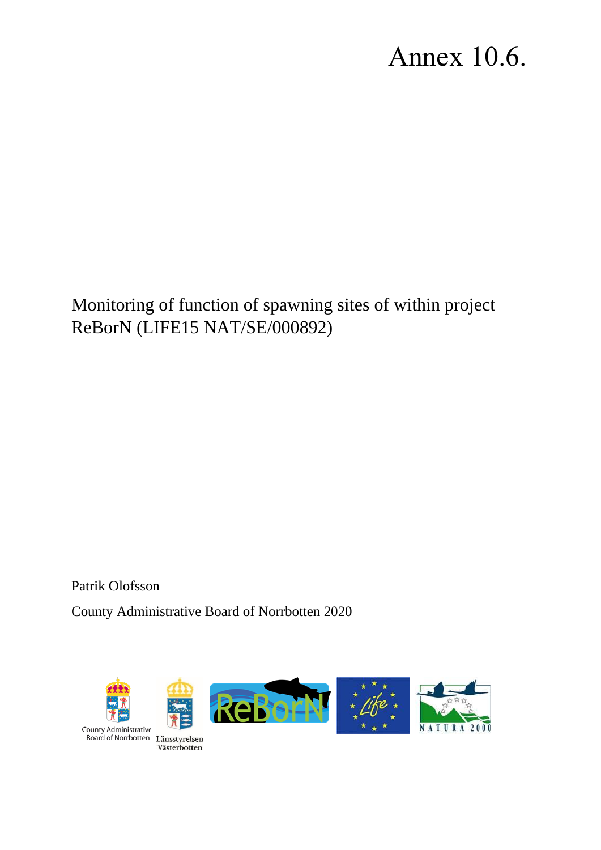# Annex 10.6.

Monitoring of function of spawning sites of within project ReBorN (LIFE15 NAT/SE/000892)

Patrik Olofsson

County Administrative Board of Norrbotten 2020

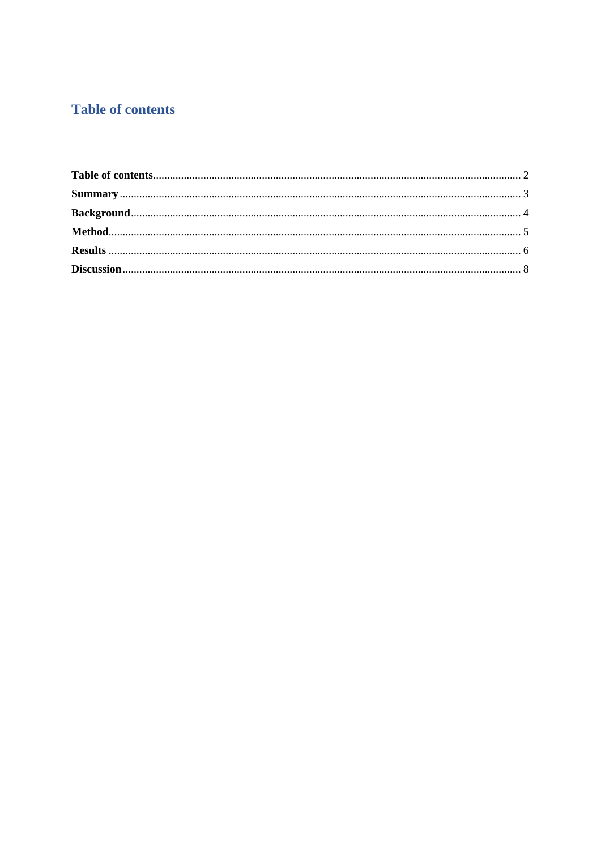## <span id="page-1-0"></span>**Table of contents**

<span id="page-1-1"></span>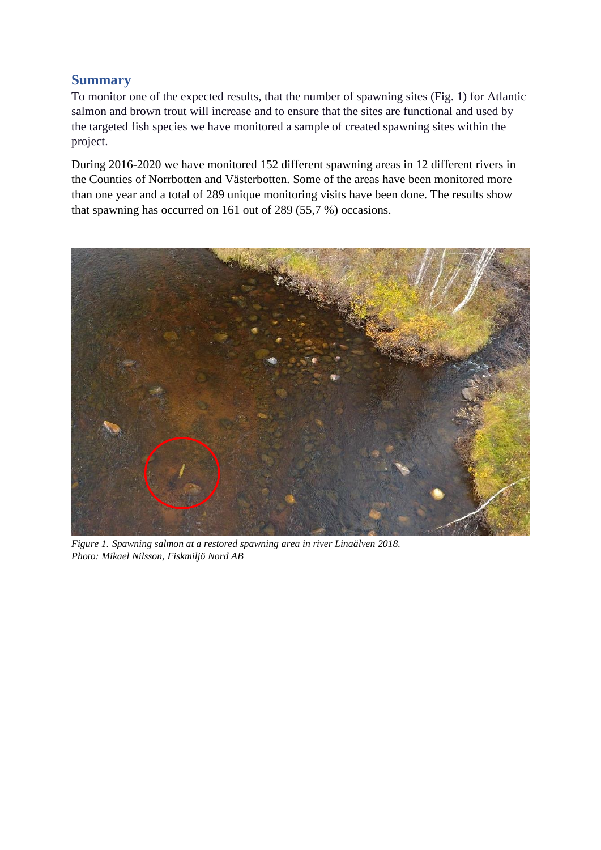#### **Summary**

To monitor one of the expected results, that the number of spawning sites (Fig. 1) for Atlantic salmon and brown trout will increase and to ensure that the sites are functional and used by the targeted fish species we have monitored a sample of created spawning sites within the project.

During 2016-2020 we have monitored 152 different spawning areas in 12 different rivers in the Counties of Norrbotten and Västerbotten. Some of the areas have been monitored more than one year and a total of 289 unique monitoring visits have been done. The results show that spawning has occurred on 161 out of 289 (55,7 %) occasions.



*Figure 1. Spawning salmon at a restored spawning area in river Linaälven 2018. Photo: Mikael Nilsson, Fiskmiljö Nord AB*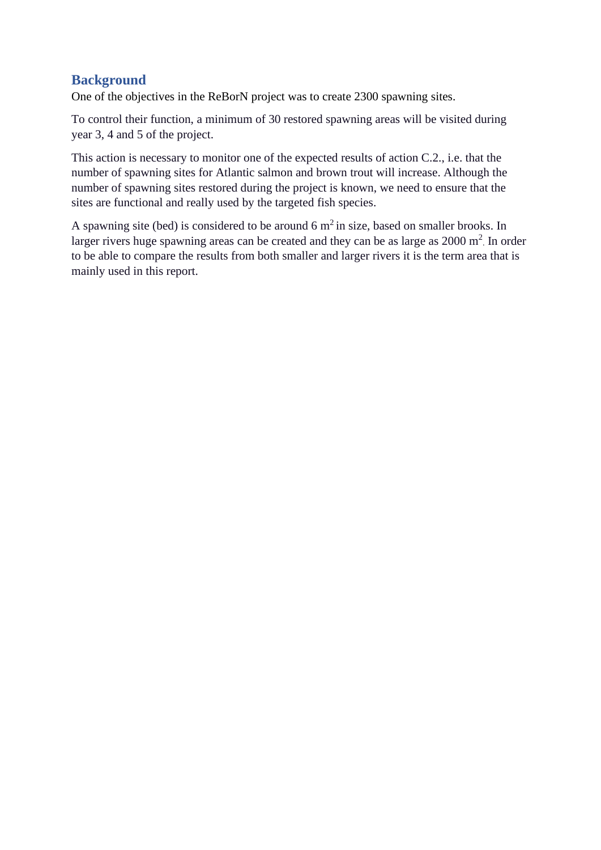#### <span id="page-3-0"></span>**Background**

One of the objectives in the ReBorN project was to create 2300 spawning sites.

To control their function, a minimum of 30 restored spawning areas will be visited during year 3, 4 and 5 of the project.

This action is necessary to monitor one of the expected results of action C.2., i.e. that the number of spawning sites for Atlantic salmon and brown trout will increase. Although the number of spawning sites restored during the project is known, we need to ensure that the sites are functional and really used by the targeted fish species.

<span id="page-3-1"></span>A spawning site (bed) is considered to be around 6  $m<sup>2</sup>$  in size, based on smaller brooks. In larger rivers huge spawning areas can be created and they can be as large as  $2000 \text{ m}^2$ . In order to be able to compare the results from both smaller and larger rivers it is the term area that is mainly used in this report.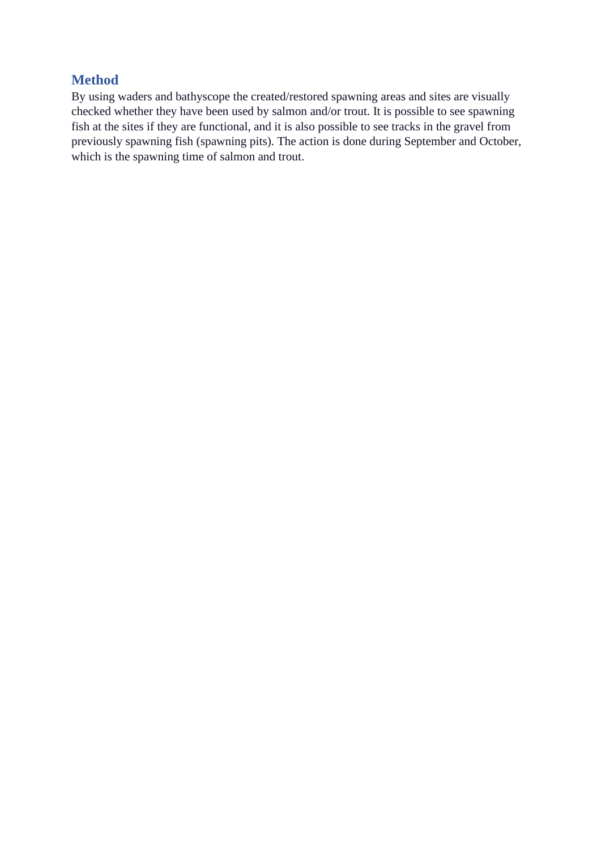#### **Method**

<span id="page-4-0"></span>By using waders and bathyscope the created/restored spawning areas and sites are visually checked whether they have been used by salmon and/or trout. It is possible to see spawning fish at the sites if they are functional, and it is also possible to see tracks in the gravel from previously spawning fish (spawning pits). The action is done during September and October, which is the spawning time of salmon and trout.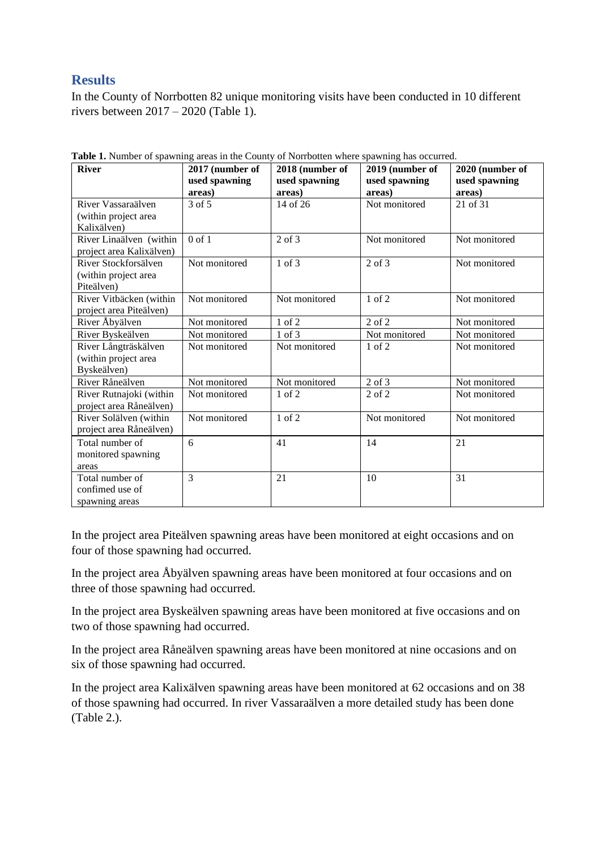### **Results**

In the County of Norrbotten 82 unique monitoring visits have been conducted in 10 different rivers between 2017 – 2020 (Table 1).

| <b>River</b>                                                | 2017 (number of<br>used spawning<br>areas) | 2018 (number of<br>used spawning<br>areas) | $\circ$<br>2019 (number of<br>used spawning<br>areas) | 2020 (number of<br>used spawning<br>areas) |
|-------------------------------------------------------------|--------------------------------------------|--------------------------------------------|-------------------------------------------------------|--------------------------------------------|
| River Vassaraälven<br>(within project area<br>Kalixälven)   | 3 of 5                                     | 14 of 26                                   | Not monitored                                         | 21 of 31                                   |
| River Linaälven (within<br>project area Kalixälven)         | $0$ of $1$                                 | $2$ of $3$                                 | Not monitored                                         | Not monitored                              |
| River Stockforsälven<br>(within project area<br>Piteälven)  | Not monitored                              | 1 of 3                                     | $2$ of $3$                                            | Not monitored                              |
| River Vitbäcken (within<br>project area Piteälven)          | Not monitored                              | Not monitored                              | $1$ of $2$                                            | Not monitored                              |
| River Åbyälven                                              | Not monitored                              | 1 of 2                                     | $2$ of $2$                                            | Not monitored                              |
| River Byskeälven                                            | Not monitored                              | 1 of 3                                     | Not monitored                                         | Not monitored                              |
| River Långträskälven<br>(within project area<br>Byskeälven) | Not monitored                              | Not monitored                              | $1$ of $2$                                            | Not monitored                              |
| River Råneälven                                             | Not monitored                              | Not monitored                              | $2$ of $3$                                            | Not monitored                              |
| River Rutnajoki (within<br>project area Råneälven)          | Not monitored                              | $1$ of $2$                                 | $2$ of $2$                                            | Not monitored                              |
| River Solälven (within<br>project area Råneälven)           | Not monitored                              | 1 of 2                                     | Not monitored                                         | Not monitored                              |
| Total number of<br>monitored spawning<br>areas              | 6                                          | 41                                         | 14                                                    | 21                                         |
| Total number of<br>confimed use of<br>spawning areas        | 3                                          | 21                                         | 10                                                    | 31                                         |

**Table 1.** Number of spawning areas in the County of Norrbotten where spawning has occurred.

In the project area Piteälven spawning areas have been monitored at eight occasions and on four of those spawning had occurred.

In the project area Åbyälven spawning areas have been monitored at four occasions and on three of those spawning had occurred.

In the project area Byskeälven spawning areas have been monitored at five occasions and on two of those spawning had occurred.

In the project area Råneälven spawning areas have been monitored at nine occasions and on six of those spawning had occurred.

In the project area Kalixälven spawning areas have been monitored at 62 occasions and on 38 of those spawning had occurred. In river Vassaraälven a more detailed study has been done (Table 2.).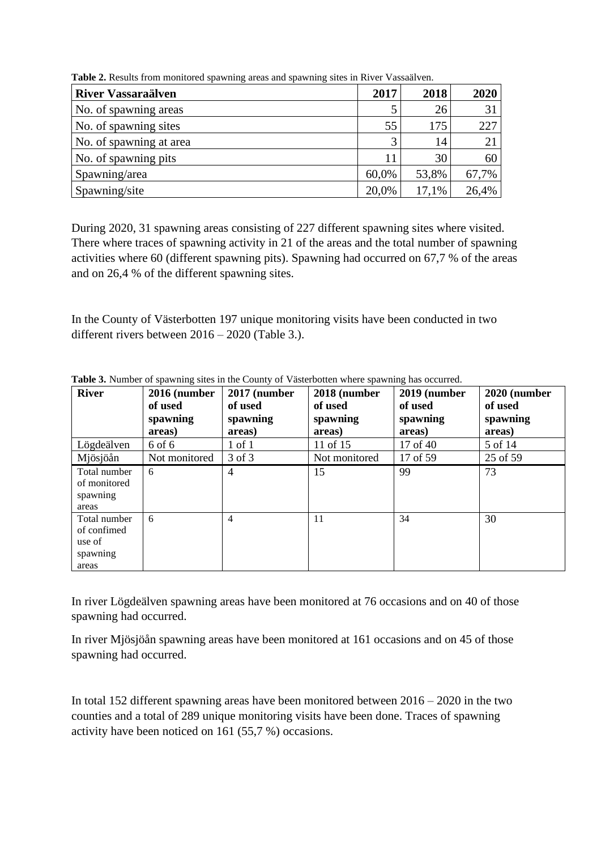| <b>River Vassaraälven</b> | 2017  | 2018  | 2020  |
|---------------------------|-------|-------|-------|
| No. of spawning areas     |       | 26    | 31    |
| No. of spawning sites     | 55    | 175   | 227   |
| No. of spawning at area   | 3     | 14    | 21    |
| No. of spawning pits      | 11    | 30    | 60    |
| Spawning/area             | 60,0% | 53,8% | 67,7% |
| Spawning/site             | 20,0% | 17,1% | 26,4% |

**Table 2.** Results from monitored spawning areas and spawning sites in River Vassaälven.

During 2020, 31 spawning areas consisting of 227 different spawning sites where visited. There where traces of spawning activity in 21 of the areas and the total number of spawning activities where 60 (different spawning pits). Spawning had occurred on 67,7 % of the areas and on 26,4 % of the different spawning sites.

In the County of Västerbotten 197 unique monitoring visits have been conducted in two different rivers between 2016 – 2020 (Table 3.).

| <b>River</b>                                               | 2016 (number<br>of used<br>spawning | 2017 (number<br>of used<br>spawning | 2018 (number<br>of used<br>spawning | 2019 (number<br>of used<br>spawning | 2020 (number<br>of used<br>spawning |
|------------------------------------------------------------|-------------------------------------|-------------------------------------|-------------------------------------|-------------------------------------|-------------------------------------|
|                                                            | areas)                              | areas)                              | areas)                              | areas)                              | areas)                              |
| Lögdeälven                                                 | 6 of 6                              | $1$ of $1$                          | 11 of 15                            | 17 of 40                            | 5 of 14                             |
| Mjösjöån                                                   | Not monitored                       | 3 of 3                              | Not monitored                       | 17 of 59                            | 25 of 59                            |
| Total number<br>of monitored<br>spawning<br>areas          | 6                                   | 4                                   | 15                                  | 99                                  | 73                                  |
| Total number<br>of confimed<br>use of<br>spawning<br>areas | 6                                   | 4                                   | 11                                  | 34                                  | 30                                  |

**Table 3.** Number of spawning sites in the County of Västerbotten where spawning has occurred.

In river Lögdeälven spawning areas have been monitored at 76 occasions and on 40 of those spawning had occurred.

In river Mjösjöån spawning areas have been monitored at 161 occasions and on 45 of those spawning had occurred.

In total 152 different spawning areas have been monitored between  $2016 - 2020$  in the two counties and a total of 289 unique monitoring visits have been done. Traces of spawning activity have been noticed on 161 (55,7 %) occasions.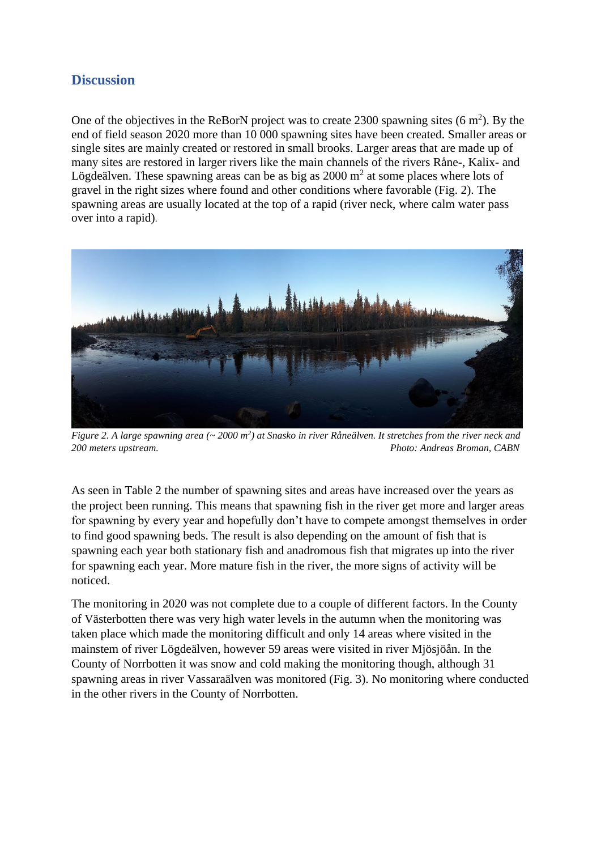#### **Discussion**

One of the objectives in the ReBorN project was to create 2300 spawning sites  $(6 \text{ m}^2)$ . By the end of field season 2020 more than 10 000 spawning sites have been created. Smaller areas or single sites are mainly created or restored in small brooks. Larger areas that are made up of many sites are restored in larger rivers like the main channels of the rivers Råne-, Kalix- and Lögdeälven. These spawning areas can be as big as  $2000 \text{ m}^2$  at some places where lots of gravel in the right sizes where found and other conditions where favorable (Fig. 2). The spawning areas are usually located at the top of a rapid (river neck, where calm water pass over into a rapid).



*Figure 2. A large spawning area (~ 2000 m<sup>2</sup> ) at Snasko in river Råneälven. It stretches from the river neck and 200 meters upstream. Photo: Andreas Broman, CABN*

As seen in Table 2 the number of spawning sites and areas have increased over the years as the project been running. This means that spawning fish in the river get more and larger areas for spawning by every year and hopefully don't have to compete amongst themselves in order to find good spawning beds. The result is also depending on the amount of fish that is spawning each year both stationary fish and anadromous fish that migrates up into the river for spawning each year. More mature fish in the river, the more signs of activity will be noticed.

The monitoring in 2020 was not complete due to a couple of different factors. In the County of Västerbotten there was very high water levels in the autumn when the monitoring was taken place which made the monitoring difficult and only 14 areas where visited in the mainstem of river Lögdeälven, however 59 areas were visited in river Mjösjöån. In the County of Norrbotten it was snow and cold making the monitoring though, although 31 spawning areas in river Vassaraälven was monitored (Fig. 3). No monitoring where conducted in the other rivers in the County of Norrbotten.